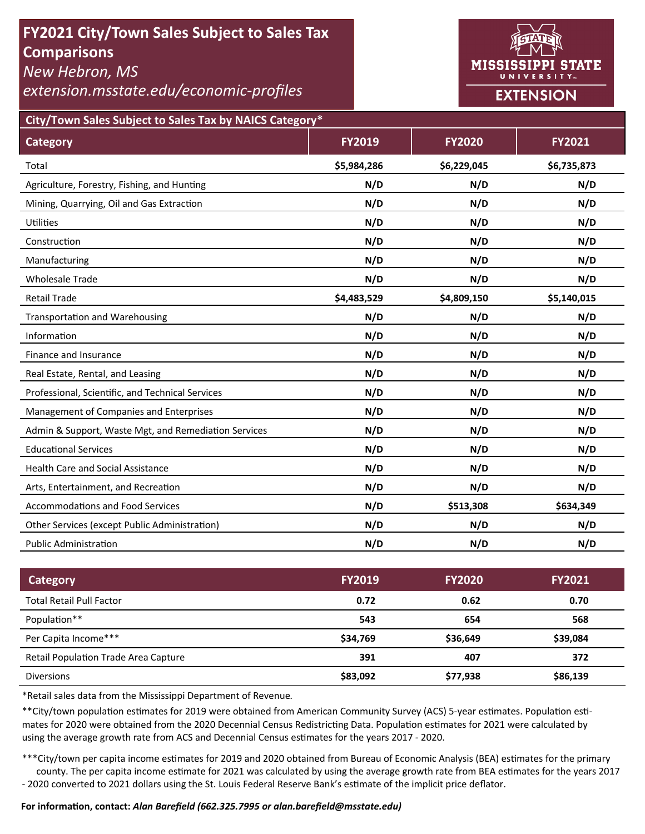# **FY2021 City/Town Sales Subject to Sales Tax Comparisons**

*New Hebron, MS* 

*extension.msstate.edu/economic‐profiles* 



**City/Town Sales Subject to Sales Tax by NAICS Category\***

| <b>Category</b>                                      | <b>FY2019</b> | <b>FY2020</b> | <b>FY2021</b> |
|------------------------------------------------------|---------------|---------------|---------------|
| Total                                                | \$5,984,286   | \$6,229,045   | \$6,735,873   |
| Agriculture, Forestry, Fishing, and Hunting          | N/D           | N/D           | N/D           |
| Mining, Quarrying, Oil and Gas Extraction            | N/D           | N/D           | N/D           |
| <b>Utilities</b>                                     | N/D           | N/D           | N/D           |
| Construction                                         | N/D           | N/D           | N/D           |
| Manufacturing                                        | N/D           | N/D           | N/D           |
| <b>Wholesale Trade</b>                               | N/D           | N/D           | N/D           |
| <b>Retail Trade</b>                                  | \$4,483,529   | \$4,809,150   | \$5,140,015   |
| <b>Transportation and Warehousing</b>                | N/D           | N/D           | N/D           |
| Information                                          | N/D           | N/D           | N/D           |
| Finance and Insurance                                | N/D           | N/D           | N/D           |
| Real Estate, Rental, and Leasing                     | N/D           | N/D           | N/D           |
| Professional, Scientific, and Technical Services     | N/D           | N/D           | N/D           |
| Management of Companies and Enterprises              | N/D           | N/D           | N/D           |
| Admin & Support, Waste Mgt, and Remediation Services | N/D           | N/D           | N/D           |
| <b>Educational Services</b>                          | N/D           | N/D           | N/D           |
| <b>Health Care and Social Assistance</b>             | N/D           | N/D           | N/D           |
| Arts, Entertainment, and Recreation                  | N/D           | N/D           | N/D           |
| <b>Accommodations and Food Services</b>              | N/D           | \$513,308     | \$634,349     |
| Other Services (except Public Administration)        | N/D           | N/D           | N/D           |
| <b>Public Administration</b>                         | N/D           | N/D           | N/D           |

| <b>Category</b>                      | <b>FY2019</b> | <b>FY2020</b> | <b>FY2021</b> |
|--------------------------------------|---------------|---------------|---------------|
| <b>Total Retail Pull Factor</b>      | 0.72          | 0.62          | 0.70          |
| Population**                         | 543           | 654           | 568           |
| Per Capita Income***                 | \$34,769      | \$36,649      | \$39,084      |
| Retail Population Trade Area Capture | 391           | 407           | 372           |
| <b>Diversions</b>                    | \$83,092      | \$77,938      | \$86,139      |

\*Retail sales data from the Mississippi Department of Revenue*.* 

\*\*City/town population estimates for 2019 were obtained from American Community Survey (ACS) 5-year estimates. Population estimates for 2020 were obtained from the 2020 Decennial Census Redistricting Data. Population estimates for 2021 were calculated by using the average growth rate from ACS and Decennial Census estimates for the years 2017 - 2020.

\*\*\*City/town per capita income estimates for 2019 and 2020 obtained from Bureau of Economic Analysis (BEA) estimates for the primary county. The per capita income estimate for 2021 was calculated by using the average growth rate from BEA estimates for the years 2017 - 2020 converted to 2021 dollars using the St. Louis Federal Reserve Bank's estimate of the implicit price deflator.

### **For informaƟon, contact:** *Alan Barefield (662.325.7995 or alan.barefield@msstate.edu)*